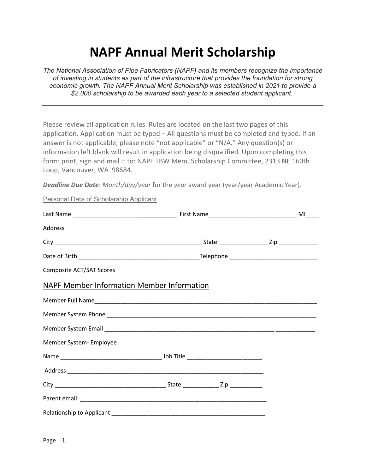# NAPF Annual Merit Scholarship

The National Association of Pipe Fabricators (NAPF) and its members recognize the importance of investing in students as part of the infrastructure that provides the foundation for strong economic growth. The NAPF Annual Merit Scholarship was established in 2021 to provide a \$2,000 scholarship to be awarded each year to a selected student applicant.

Please review all application rules. Rules are located on the last two pages of this application. Application must be typed – All questions must be completed and typed. If an answer is not applicable, please note "not applicable" or "N/A." Any question(s) or information left blank will result in application being disqualified. Upon completing this form: print, sign and mail it to: NAPF TBW Mem. Scholarship Committee, 2313 NE 160th Loop, Vancouver, WA 98684.

Deadline Due Date: Month/day/year for the year award year (year/year Academic Year).

Personal Data of Scholarship Applicant

| Composite ACT/SAT Scores_______________           |  |  |  |  |
|---------------------------------------------------|--|--|--|--|
| <b>NAPF Member Information Member Information</b> |  |  |  |  |
|                                                   |  |  |  |  |
|                                                   |  |  |  |  |
|                                                   |  |  |  |  |
| Member System- Employee                           |  |  |  |  |
|                                                   |  |  |  |  |
|                                                   |  |  |  |  |
|                                                   |  |  |  |  |
|                                                   |  |  |  |  |
|                                                   |  |  |  |  |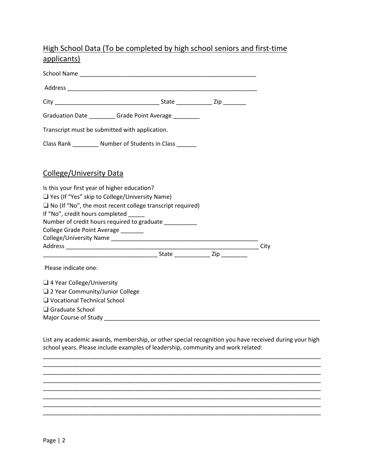# High School Data (To be completed by high school seniors and first-time applicants)

School Name \_\_\_\_\_\_\_\_\_\_\_\_\_\_\_\_\_\_\_\_\_\_\_\_\_\_\_\_\_\_\_\_\_\_\_\_\_\_\_\_\_\_\_\_\_\_\_\_\_\_\_\_\_\_ Address \_\_\_\_\_\_\_\_\_\_\_\_\_\_\_\_\_\_\_\_\_\_\_\_\_\_\_\_\_\_\_\_\_\_\_\_\_\_\_\_\_\_\_\_\_\_\_\_\_\_\_\_\_\_\_\_\_\_ City \_\_\_\_\_\_\_\_\_\_\_\_\_\_\_\_\_\_\_\_\_\_\_\_\_\_\_\_\_\_\_\_ State \_\_\_\_\_\_\_\_\_\_\_ Zip \_\_\_\_\_\_\_ Graduation Date \_\_\_\_\_\_\_\_\_ Grade Point Average \_\_\_\_\_\_\_ Transcript must be submitted with application. Class Rank \_\_\_\_\_\_\_\_\_ Number of Students in Class College/University Data Is this your first year of higher education? ❑ Yes (If "Yes" skip to College/University Name) □ No (If "No", the most recent college transcript required) If "No", credit hours completed Number of credit hours required to graduate \_\_\_\_\_\_\_\_\_\_\_ College Grade Point Average \_\_\_\_\_\_\_ College/University Name \_\_\_\_\_\_\_\_\_\_\_\_\_\_\_\_\_\_\_\_\_\_\_\_\_\_\_\_\_\_\_\_\_\_\_\_\_\_\_\_\_\_\_\_\_ Address \_\_\_\_\_\_\_\_\_\_\_\_\_\_\_\_\_\_\_\_\_\_\_\_\_\_\_\_\_\_\_\_\_\_\_\_\_\_\_\_\_\_\_\_\_\_\_\_\_\_\_\_\_\_\_\_\_\_\_ City \_\_\_\_\_\_\_\_\_\_\_\_\_\_\_\_\_\_\_\_\_\_\_\_\_\_\_\_\_\_\_\_\_\_\_ State \_\_\_\_\_\_\_\_\_\_\_ Zip \_\_\_\_\_\_\_\_ Please indicate one: ❑ 4 Year College/University □ 2 Year Community/Junior College ❑ Vocational Technical School ❑ Graduate School Major Course of Study \_\_\_\_\_\_\_\_\_\_\_\_\_\_\_\_\_\_\_\_\_\_\_\_\_\_\_\_\_\_\_\_\_\_\_\_\_\_\_\_\_\_\_\_\_\_\_\_\_\_\_\_\_\_\_\_\_\_\_\_\_\_\_\_\_\_

List any academic awards, membership, or other special recognition you have received during your high school years. Please include examples of leadership, community and work related:

\_\_\_\_\_\_\_\_\_\_\_\_\_\_\_\_\_\_\_\_\_\_\_\_\_\_\_\_\_\_\_\_\_\_\_\_\_\_\_\_\_\_\_\_\_\_\_\_\_\_\_\_\_\_\_\_\_\_\_\_\_\_\_\_\_\_\_\_\_\_\_\_\_\_\_\_\_\_\_\_\_\_\_\_\_ \_\_\_\_\_\_\_\_\_\_\_\_\_\_\_\_\_\_\_\_\_\_\_\_\_\_\_\_\_\_\_\_\_\_\_\_\_\_\_\_\_\_\_\_\_\_\_\_\_\_\_\_\_\_\_\_\_\_\_\_\_\_\_\_\_\_\_\_\_\_\_\_\_\_\_\_\_\_\_\_\_\_\_\_\_ \_\_\_\_\_\_\_\_\_\_\_\_\_\_\_\_\_\_\_\_\_\_\_\_\_\_\_\_\_\_\_\_\_\_\_\_\_\_\_\_\_\_\_\_\_\_\_\_\_\_\_\_\_\_\_\_\_\_\_\_\_\_\_\_\_\_\_\_\_\_\_\_\_\_\_\_\_\_\_\_\_\_\_\_\_ \_\_\_\_\_\_\_\_\_\_\_\_\_\_\_\_\_\_\_\_\_\_\_\_\_\_\_\_\_\_\_\_\_\_\_\_\_\_\_\_\_\_\_\_\_\_\_\_\_\_\_\_\_\_\_\_\_\_\_\_\_\_\_\_\_\_\_\_\_\_\_\_\_\_\_\_\_\_\_\_\_\_\_\_\_ \_\_\_\_\_\_\_\_\_\_\_\_\_\_\_\_\_\_\_\_\_\_\_\_\_\_\_\_\_\_\_\_\_\_\_\_\_\_\_\_\_\_\_\_\_\_\_\_\_\_\_\_\_\_\_\_\_\_\_\_\_\_\_\_\_\_\_\_\_\_\_\_\_\_\_\_\_\_\_\_\_\_\_\_\_ \_\_\_\_\_\_\_\_\_\_\_\_\_\_\_\_\_\_\_\_\_\_\_\_\_\_\_\_\_\_\_\_\_\_\_\_\_\_\_\_\_\_\_\_\_\_\_\_\_\_\_\_\_\_\_\_\_\_\_\_\_\_\_\_\_\_\_\_\_\_\_\_\_\_\_\_\_\_\_\_\_\_\_\_\_ \_\_\_\_\_\_\_\_\_\_\_\_\_\_\_\_\_\_\_\_\_\_\_\_\_\_\_\_\_\_\_\_\_\_\_\_\_\_\_\_\_\_\_\_\_\_\_\_\_\_\_\_\_\_\_\_\_\_\_\_\_\_\_\_\_\_\_\_\_\_\_\_\_\_\_\_\_\_\_\_\_\_\_\_\_ \_\_\_\_\_\_\_\_\_\_\_\_\_\_\_\_\_\_\_\_\_\_\_\_\_\_\_\_\_\_\_\_\_\_\_\_\_\_\_\_\_\_\_\_\_\_\_\_\_\_\_\_\_\_\_\_\_\_\_\_\_\_\_\_\_\_\_\_\_\_\_\_\_\_\_\_\_\_\_\_\_\_\_\_\_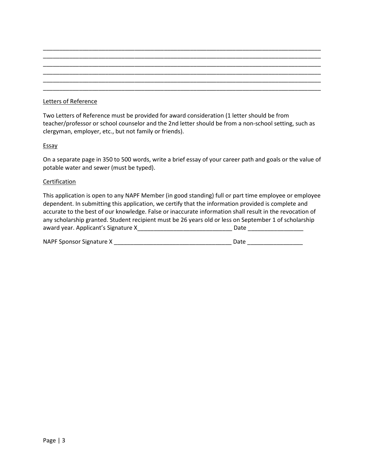## Letters of Reference

Two Letters of Reference must be provided for award consideration (1 letter should be from teacher/professor or school counselor and the 2nd letter should be from a non-school setting, such as clergyman, employer, etc., but not family or friends).

\_\_\_\_\_\_\_\_\_\_\_\_\_\_\_\_\_\_\_\_\_\_\_\_\_\_\_\_\_\_\_\_\_\_\_\_\_\_\_\_\_\_\_\_\_\_\_\_\_\_\_\_\_\_\_\_\_\_\_\_\_\_\_\_\_\_\_\_\_\_\_\_\_\_\_\_\_\_\_\_\_\_\_\_\_ \_\_\_\_\_\_\_\_\_\_\_\_\_\_\_\_\_\_\_\_\_\_\_\_\_\_\_\_\_\_\_\_\_\_\_\_\_\_\_\_\_\_\_\_\_\_\_\_\_\_\_\_\_\_\_\_\_\_\_\_\_\_\_\_\_\_\_\_\_\_\_\_\_\_\_\_\_\_\_\_\_\_\_\_\_ \_\_\_\_\_\_\_\_\_\_\_\_\_\_\_\_\_\_\_\_\_\_\_\_\_\_\_\_\_\_\_\_\_\_\_\_\_\_\_\_\_\_\_\_\_\_\_\_\_\_\_\_\_\_\_\_\_\_\_\_\_\_\_\_\_\_\_\_\_\_\_\_\_\_\_\_\_\_\_\_\_\_\_\_\_ \_\_\_\_\_\_\_\_\_\_\_\_\_\_\_\_\_\_\_\_\_\_\_\_\_\_\_\_\_\_\_\_\_\_\_\_\_\_\_\_\_\_\_\_\_\_\_\_\_\_\_\_\_\_\_\_\_\_\_\_\_\_\_\_\_\_\_\_\_\_\_\_\_\_\_\_\_\_\_\_\_\_\_\_\_ \_\_\_\_\_\_\_\_\_\_\_\_\_\_\_\_\_\_\_\_\_\_\_\_\_\_\_\_\_\_\_\_\_\_\_\_\_\_\_\_\_\_\_\_\_\_\_\_\_\_\_\_\_\_\_\_\_\_\_\_\_\_\_\_\_\_\_\_\_\_\_\_\_\_\_\_\_\_\_\_\_\_\_\_\_ \_\_\_\_\_\_\_\_\_\_\_\_\_\_\_\_\_\_\_\_\_\_\_\_\_\_\_\_\_\_\_\_\_\_\_\_\_\_\_\_\_\_\_\_\_\_\_\_\_\_\_\_\_\_\_\_\_\_\_\_\_\_\_\_\_\_\_\_\_\_\_\_\_\_\_\_\_\_\_\_\_\_\_\_\_

#### **Essay**

On a separate page in 350 to 500 words, write a brief essay of your career path and goals or the value of potable water and sewer (must be typed).

#### **Certification**

This application is open to any NAPF Member (in good standing) full or part time employee or employee dependent. In submitting this application, we certify that the information provided is complete and accurate to the best of our knowledge. False or inaccurate information shall result in the revocation of any scholarship granted. Student recipient must be 26 years old or less on September 1 of scholarship award year. Applicant's Signature X\_\_\_\_\_\_\_\_\_\_\_\_\_\_\_\_\_\_\_\_\_\_\_\_\_\_\_\_\_ Date \_\_\_\_\_\_\_\_\_\_\_\_\_\_\_\_\_

| NAPF Sponsor Signature X | Date |
|--------------------------|------|
|                          |      |